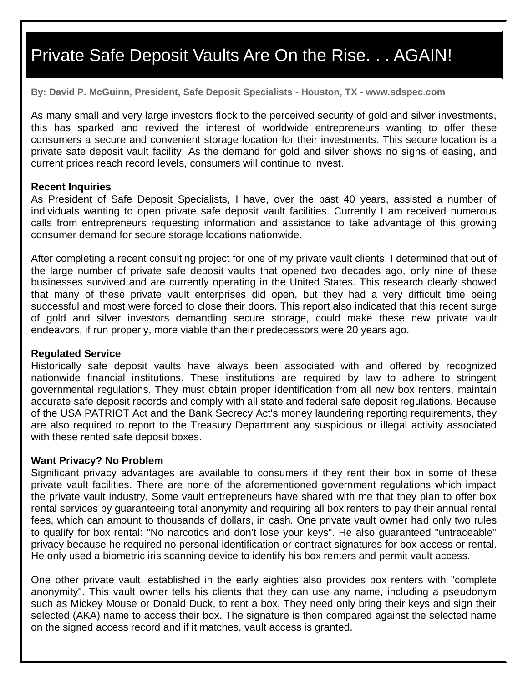# Private Safe Deposit Vaults Are On the Rise. . . AGAIN!

**By: David P. McGuinn, President, Safe Deposit Specialists - Houston, TX - www.sdspec.com**

As many small and very large investors flock to the perceived security of gold and silver investments, this has sparked and revived the interest of worldwide entrepreneurs wanting to offer these consumers a secure and convenient storage location for their investments. This secure location is a private sate deposit vault facility. As the demand for gold and silver shows no signs of easing, and current prices reach record levels, consumers will continue to invest.

#### **Recent Inquiries**

As President of Safe Deposit Specialists, I have, over the past 40 years, assisted a number of individuals wanting to open private safe deposit vault facilities. Currently I am received numerous calls from entrepreneurs requesting information and assistance to take advantage of this growing consumer demand for secure storage locations nationwide.

After completing a recent consulting project for one of my private vault clients, I determined that out of the large number of private safe deposit vaults that opened two decades ago, only nine of these businesses survived and are currently operating in the United States. This research clearly showed that many of these private vault enterprises did open, but they had a very difficult time being successful and most were forced to close their doors. This report also indicated that this recent surge of gold and silver investors demanding secure storage, could make these new private vault endeavors, if run properly, more viable than their predecessors were 20 years ago.

#### **Regulated Service**

Historically safe deposit vaults have always been associated with and offered by recognized nationwide financial institutions. These institutions are required by law to adhere to stringent governmental regulations. They must obtain proper identification from all new box renters, maintain accurate safe deposit records and comply with all state and federal safe deposit regulations. Because of the USA PATRIOT Act and the Bank Secrecy Act's money laundering reporting requirements, they are also required to report to the Treasury Department any suspicious or illegal activity associated with these rented safe deposit boxes.

#### **Want Privacy? No Problem**

Significant privacy advantages are available to consumers if they rent their box in some of these private vault facilities. There are none of the aforementioned government regulations which impact the private vault industry. Some vault entrepreneurs have shared with me that they plan to offer box rental services by guaranteeing total anonymity and requiring all box renters to pay their annual rental fees, which can amount to thousands of dollars, in cash. One private vault owner had only two rules to qualify for box rental: "No narcotics and don't lose your keys". He also guaranteed "untraceable" privacy because he required no personal identification or contract signatures for box access or rental. He only used a biometric iris scanning device to identify his box renters and permit vault access.

One other private vault, established in the early eighties also provides box renters with "complete anonymity". This vault owner tells his clients that they can use any name, including a pseudonym such as Mickey Mouse or Donald Duck, to rent a box. They need only bring their keys and sign their selected (AKA) name to access their box. The signature is then compared against the selected name on the signed access record and if it matches, vault access is granted.